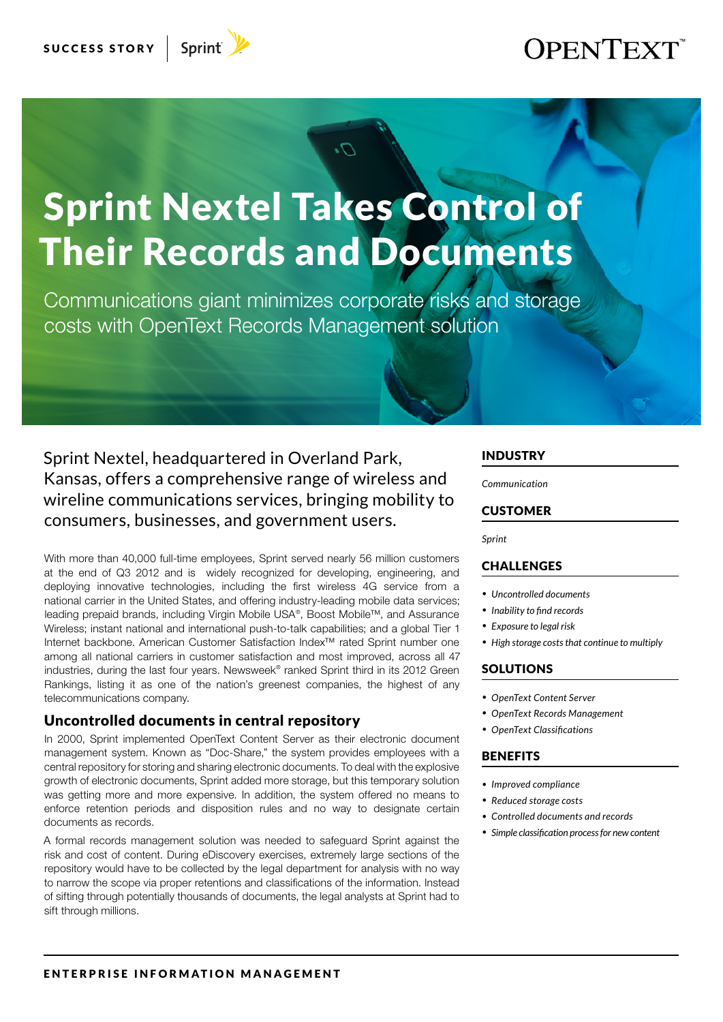## **OPENTEXT**

# Sprint Nextel Takes Control of Their Records and Documents

Communications giant minimizes corporate risks and storage costs with OpenText Records Management solution

Sprint Nextel, headquartered in Overland Park, Kansas, offers a comprehensive range of wireless and wireline communications services, bringing mobility to consumers, businesses, and government users.

With more than 40,000 full-time employees, Sprint served nearly 56 million customers at the end of Q3 2012 and is widely recognized for developing, engineering, and deploying innovative technologies, including the first wireless 4G service from a national carrier in the United States, and offering industry-leading mobile data services; leading prepaid brands, including Virgin Mobile USA®, Boost Mobile™, and Assurance Wireless; instant national and international push-to-talk capabilities; and a global Tier 1 Internet backbone. American Customer Satisfaction Index™ rated Sprint number one among all national carriers in customer satisfaction and most improved, across all 47 industries, during the last four years. Newsweek® ranked Sprint third in its 2012 Green Rankings, listing it as one of the nation's greenest companies, the highest of any telecommunications company.

#### Uncontrolled documents in central repository

In 2000, Sprint implemented OpenText Content Server as their electronic document management system. Known as "Doc-Share," the system provides employees with a central repository for storing and sharing electronic documents. To deal with the explosive growth of electronic documents, Sprint added more storage, but this temporary solution was getting more and more expensive. In addition, the system offered no means to enforce retention periods and disposition rules and no way to designate certain documents as records.

A formal records management solution was needed to safeguard Sprint against the risk and cost of content. During eDiscovery exercises, extremely large sections of the repository would have to be collected by the legal department for analysis with no way to narrow the scope via proper retentions and classifications of the information. Instead of sifting through potentially thousands of documents, the legal analysts at Sprint had to sift through millions.

#### INDUSTRY

*Communication*

#### **CUSTOMER**

*Sprint*

#### CHALLENGES

- *• Uncontrolled documents*
- *• Inability to find records*
- *• Exposure to legal risk*
- *• High storage costs that continue to multiply*

#### **SOLUTIONS**

- *• OpenText Content Server*
- *• OpenText Records Management*
- *• OpenText Classifications*

#### **BENEFITS**

- *• Improved compliance*
- *• Reduced storage costs*
- *• Controlled documents and records*
- *• Simple classification process for new content*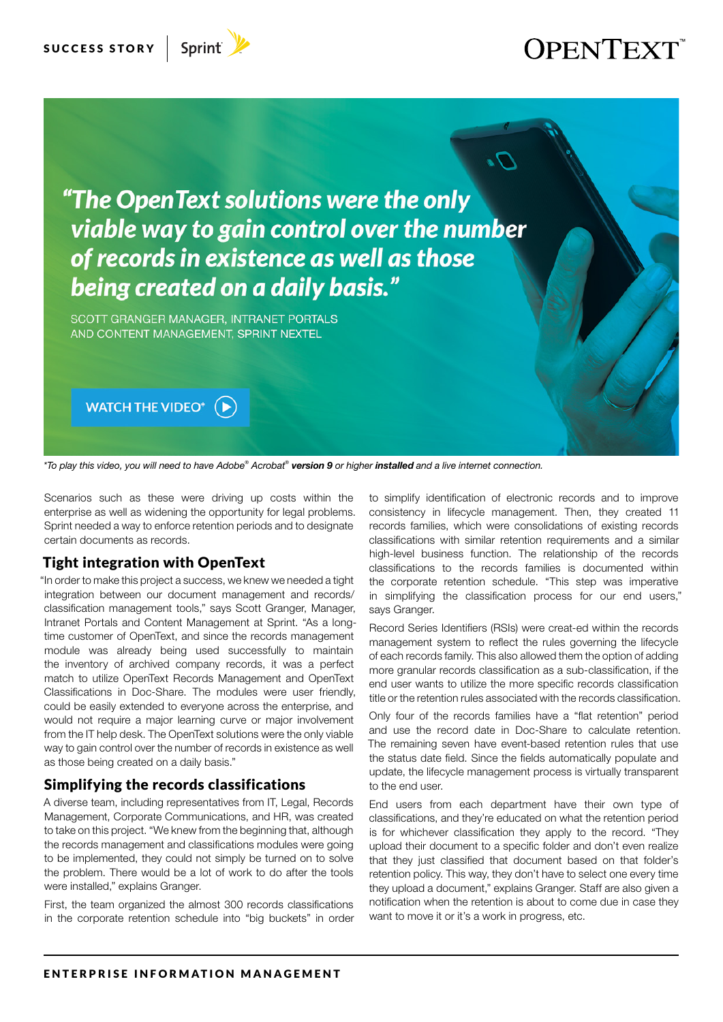

## **OPENTEXT**



*\*To play this video, you will need to have Adobe® Acrobat® version 9 or higher installed and a live internet connection.*

Scenarios such as these were driving up costs within the enterprise as well as widening the opportunity for legal problems. Sprint needed a way to enforce retention periods and to designate certain documents as records.

#### Tight integration with OpenText

"In order to make this project a success, we knew we needed a tight integration between our document management and records/ classification management tools," says Scott Granger, Manager, Intranet Portals and Content Management at Sprint. "As a longtime customer of OpenText, and since the records management module was already being used successfully to maintain the inventory of archived company records, it was a perfect match to utilize OpenText Records Management and OpenText Classifications in Doc-Share. The modules were user friendly, could be easily extended to everyone across the enterprise, and would not require a major learning curve or major involvement from the IT help desk. The OpenText solutions were the only viable way to gain control over the number of records in existence as well as those being created on a daily basis."

#### Simplifying the records classifications

A diverse team, including representatives from IT, Legal, Records Management, Corporate Communications, and HR, was created to take on this project. "We knew from the beginning that, although the records management and classifications modules were going to be implemented, they could not simply be turned on to solve the problem. There would be a lot of work to do after the tools were installed," explains Granger.

First, the team organized the almost 300 records classifications in the corporate retention schedule into "big buckets" in order to simplify identification of electronic records and to improve consistency in lifecycle management. Then, they created 11 records families, which were consolidations of existing records classifications with similar retention requirements and a similar high-level business function. The relationship of the records classifications to the records families is documented within the corporate retention schedule. "This step was imperative in simplifying the classification process for our end users," says Granger.

Record Series Identifiers (RSIs) were creat-ed within the records management system to reflect the rules governing the lifecycle of each records family. This also allowed them the option of adding more granular records classification as a sub-classification, if the end user wants to utilize the more specific records classification title or the retention rules associated with the records classification.

Only four of the records families have a "flat retention" period and use the record date in Doc-Share to calculate retention. The remaining seven have event-based retention rules that use the status date field. Since the fields automatically populate and update, the lifecycle management process is virtually transparent to the end user.

End users from each department have their own type of classifications, and they're educated on what the retention period is for whichever classification they apply to the record. "They upload their document to a specific folder and don't even realize that they just classified that document based on that folder's retention policy. This way, they don't have to select one every time they upload a document," explains Granger. Staff are also given a notification when the retention is about to come due in case they want to move it or it's a work in progress, etc.